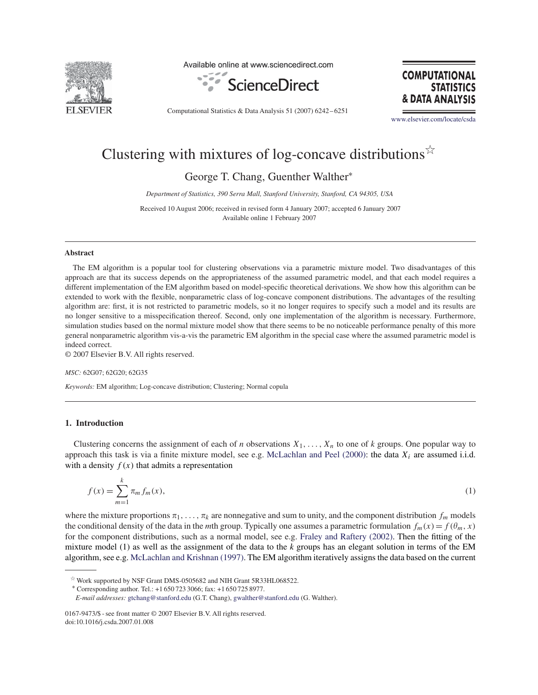

Available online at www.sciencedirect.com





Computational Statistics & Data Analysis 51 (2007) 6242 – 6251

www.elsevier.com/locate/csda

# Clustering with mixtures of log-concave distributions  $\hat{x}$

George T. Chang, Guenther Walther<sup>\*</sup>

*Department of Statistics, 390 Serra Mall, Stanford University, Stanford, CA 94305, USA*

Received 10 August 2006; received in revised form 4 January 2007; accepted 6 January 2007 Available online 1 February 2007

#### **Abstract**

The EM algorithm is a popular tool for clustering observations via a parametric mixture model. Two disadvantages of this approach are that its success depends on the appropriateness of the assumed parametric model, and that each model requires a different implementation of the EM algorithm based on model-specific theoretical derivations. We show how this algorithm can be extended to work with the flexible, nonparametric class of log-concave component distributions. The advantages of the resulting algorithm are: first, it is not restricted to parametric models, so it no longer requires to specify such a model and its results are no longer sensitive to a misspecification thereof. Second, only one implementation of the algorithm is necessary. Furthermore, simulation studies based on the normal mixture model show that there seems to be no noticeable performance penalty of this more general nonparametric algorithm vis-a-vis the parametric EM algorithm in the special case where the assumed parametric model is indeed correct.

© 2007 Elsevier B.V. All rights reserved.

*MSC:* 62G07; 62G20; 62G35

*Keywords:* EM algorithm; Log-concave distribution; Clustering; Normal copula

#### **1. Introduction**

Clustering concerns the assignment of each of *n* observations  $X_1, \ldots, X_n$  to one of *k* groups. One popular way to approach this task is via a finite mixture model, see e.g. McLachlan and Peel (2000): the data  $X_i$  are assumed i.i.d. with a density  $f(x)$  that admits a representation

$$
f(x) = \sum_{m=1}^{k} \pi_m f_m(x),
$$
 (1)

where the mixture proportions  $\pi_1, \ldots, \pi_k$  are nonnegative and sum to unity, and the component distribution  $f_m$  models the conditional density of the data in the *m*th group. Typically one assumes a parametric formulation  $f_m(x) = f(\theta_m, x)$ for the component distributions, such as a normal model, see e.g. Fraley and Raftery (2002). Then the fitting of the mixture model (1) as well as the assignment of the data to the *k* groups has an elegant solution in terms of the EM algorithm, see e.g. McLachlan and Krishnan (1997). The EM algorithm iteratively assigns the data based on the current

∗ Corresponding author. Tel.: +1 650 723 3066; fax: +1 650 725 8977.

 $*$  Work supported by NSF Grant DMS-0505682 and NIH Grant 5R33HL068522.

*E-mail addresses:* gtchang@stanford.edu (G.T. Chang), gwalther@stanford.edu (G. Walther).

<sup>0167-9473/\$ -</sup> see front matter © 2007 Elsevier B.V. All rights reserved. doi:10.1016/j.csda.2007.01.008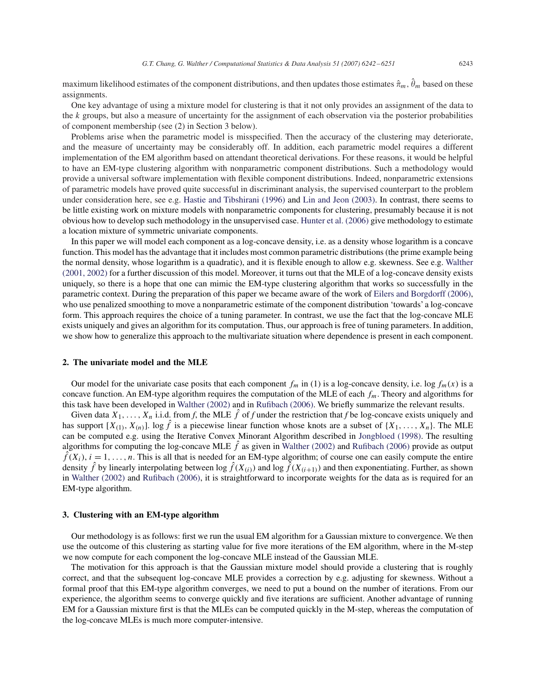maximum likelihood estimates of the component distributions, and then updates those estimates  $\hat{\pi}_m$ ,  $\hat{\theta}_m$  based on these assignments.

One key advantage of using a mixture model for clustering is that it not only provides an assignment of the data to the  $k$  groups, but also a measure of uncertainty for the assignment of each observation via the posterior probabilities of component membership (see (2) in Section 3 below).

Problems arise when the parametric model is misspecified. Then the accuracy of the clustering may deteriorate, and the measure of uncertainty may be considerably off. In addition, each parametric model requires a different implementation of the EM algorithm based on attendant theoretical derivations. For these reasons, it would be helpful to have an EM-type clustering algorithm with nonparametric component distributions. Such a methodology would provide a universal software implementation with flexible component distributions. Indeed, nonparametric extensions of parametric models have proved quite successful in discriminant analysis, the supervised counterpart to the problem under consideration here, see e.g. Hastie and Tibshirani (1996) and Lin and Jeon (2003). In contrast, there seems to be little existing work on mixture models with nonparametric components for clustering, presumably because it is not obvious how to develop such methodology in the unsupervised case. Hunter et al. (2006) give methodology to estimate a location mixture of symmetric univariate components.

In this paper we will model each component as a log-concave density, i.e. as a density whose logarithm is a concave function. This model has the advantage that it includes most common parametric distributions (the prime example being the normal density, whose logarithm is a quadratic), and it is flexible enough to allow e.g. skewness. See e.g. Walther (2001, 2002) for a further discussion of this model. Moreover, it turns out that the MLE of a log-concave density exists uniquely, so there is a hope that one can mimic the EM-type clustering algorithm that works so successfully in the parametric context. During the preparation of this paper we became aware of the work of Eilers and Borgdorff (2006), who use penalized smoothing to move a nonparametric estimate of the component distribution 'towards' a log-concave form. This approach requires the choice of a tuning parameter. In contrast, we use the fact that the log-concave MLE exists uniquely and gives an algorithm for its computation. Thus, our approach is free of tuning parameters. In addition, we show how to generalize this approach to the multivariate situation where dependence is present in each component.

#### **2. The univariate model and the MLE**

Our model for the univariate case posits that each component  $f_m$  in (1) is a log-concave density, i.e. log  $f_m(x)$  is a concave function. An EM-type algorithm requires the computation of the MLE of each  $f_m$ . Theory and algorithms for this task have been developed in Walther (2002) and in Rufibach (2006). We briefly summarize the relevant results.

Given data  $X_1, \ldots, X_n$  i.i.d. from *f*, the MLE  $\hat{f}$  of *f* under the restriction that *f* be log-concave exists uniquely and has support  $[X_{(1)}, X_{(n)}]$ . log  $\hat{f}$  is a piecewise linear function whose knots are a subset of  $\{X_1, \ldots, X_n\}$ . The MLE can be computed e.g. using the Iterative Convex Minorant Algorithm described in Jongbloed (1998). The resulting algorithms for computing the log-concave MLE  $\hat{f}$  as given in Walther (2002) and Rufibach (2006) provide as output  $f(X_i)$ ,  $i = 1, \ldots, n$ . This is all that is needed for an EM-type algorithm; of course one can easily compute the entire density  $\hat{f}$  by linearly interpolating between log  $\hat{f}(X_{(i)})$  and log  $\hat{f}(X_{(i+1)})$  and then exponentiating. Further, as shown in Walther (2002) and Rufibach (2006), it is straightforward to incorporate weights for the data as is required for an EM-type algorithm.

## **3. Clustering with an EM-type algorithm**

Our methodology is as follows: first we run the usual EM algorithm for a Gaussian mixture to convergence. We then use the outcome of this clustering as starting value for five more iterations of the EM algorithm, where in the M-step we now compute for each component the log-concave MLE instead of the Gaussian MLE.

The motivation for this approach is that the Gaussian mixture model should provide a clustering that is roughly correct, and that the subsequent log-concave MLE provides a correction by e.g. adjusting for skewness. Without a formal proof that this EM-type algorithm converges, we need to put a bound on the number of iterations. From our experience, the algorithm seems to converge quickly and five iterations are sufficient. Another advantage of running EM for a Gaussian mixture first is that the MLEs can be computed quickly in the M-step, whereas the computation of the log-concave MLEs is much more computer-intensive.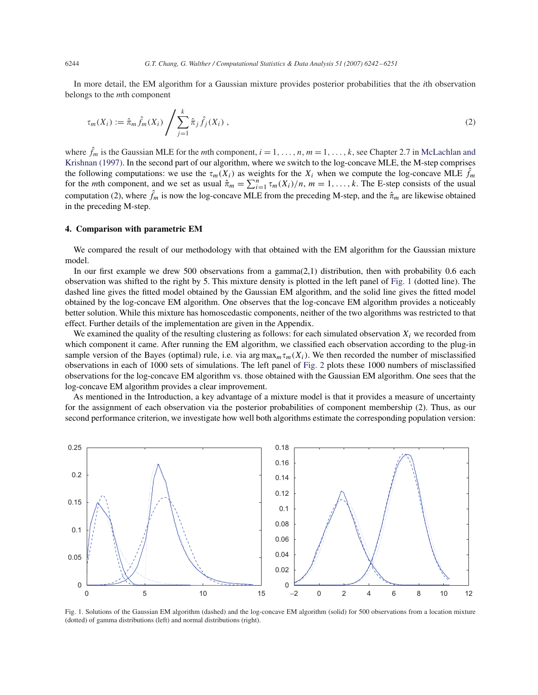In more detail, the EM algorithm for a Gaussian mixture provides posterior probabilities that the *i*th observation belongs to the *m*th component

$$
\tau_m(X_i) := \hat{\pi}_m \hat{f}_m(X_i) / \sum_{j=1}^k \hat{\pi}_j \hat{f}_j(X_i) , \qquad (2)
$$

where  $\hat{f}_m$  is the Gaussian MLE for the *m*th component,  $i = 1, \ldots, n, m = 1, \ldots, k$ , see Chapter 2.7 in McLachlan and Krishnan (1997). In the second part of our algorithm, where we switch to the log-concave MLE, the M-step comprises the following computations: we use the  $\tau_m(X_i)$  as weights for the  $X_i$  when we compute the log-concave MLE  $\hat{f}_m$ for the *m*th component, and we set as usual  $\hat{\pi}_m = \sum_{i=1}^n \tau_m(X_i)/n$ ,  $m = 1, \ldots, k$ . The E-step consists of the usual computation (2), where  $\hat{f}_m$  is now the log-concave MLE from the preceding M-step, and the  $\hat{\pi}_m$  are likewise obtained in the preceding M-step.

#### **4. Comparison with parametric EM**

We compared the result of our methodology with that obtained with the EM algorithm for the Gaussian mixture model.

In our first example we drew 500 observations from a gamma(2,1) distribution, then with probability 0.6 each observation was shifted to the right by 5. This mixture density is plotted in the left panel of Fig. 1 (dotted line). The dashed line gives the fitted model obtained by the Gaussian EM algorithm, and the solid line gives the fitted model obtained by the log-concave EM algorithm. One observes that the log-concave EM algorithm provides a noticeably better solution. While this mixture has homoscedastic components, neither of the two algorithms was restricted to that effect. Further details of the implementation are given in the Appendix.

We examined the quality of the resulting clustering as follows: for each simulated observation  $X_i$  we recorded from which component it came. After running the EM algorithm, we classified each observation according to the plug-in sample version of the Bayes (optimal) rule, i.e. via  $\arg \max_{m} \tau_m(X_i)$ . We then recorded the number of misclassified observations in each of 1000 sets of simulations. The left panel of Fig. 2 plots these 1000 numbers of misclassified observations for the log-concave EM algorithm vs. those obtained with the Gaussian EM algorithm. One sees that the log-concave EM algorithm provides a clear improvement.

As mentioned in the Introduction, a key advantage of a mixture model is that it provides a measure of uncertainty for the assignment of each observation via the posterior probabilities of component membership (2). Thus, as our second performance criterion, we investigate how well both algorithms estimate the corresponding population version:



Fig. 1. Solutions of the Gaussian EM algorithm (dashed) and the log-concave EM algorithm (solid) for 500 observations from a location mixture (dotted) of gamma distributions (left) and normal distributions (right).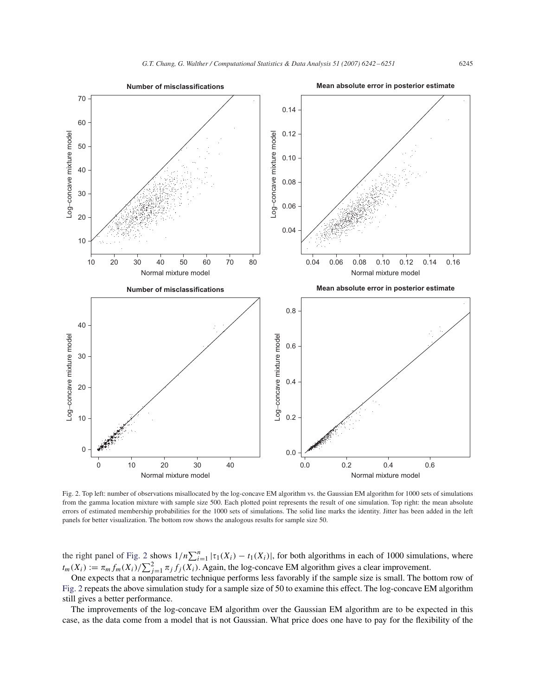

Fig. 2. Top left: number of observations misallocated by the log-concave EM algorithm vs. the Gaussian EM algorithm for 1000 sets of simulations from the gamma location mixture with sample size 500. Each plotted point represents the result of one simulation. Top right: the mean absolute errors of estimated membership probabilities for the 1000 sets of simulations. The solid line marks the identity. Jitter has been added in the left panels for better visualization. The bottom row shows the analogous results for sample size 50.

the right panel of Fig. 2 shows  $1/n\sum_{i=1}^{n} |\tau_1(X_i) - t_1(X_i)|$ , for both algorithms in each of 1000 simulations, where  $t_m(X_i) := \pi_m f_m(X_i) / \sum_{j=1}^2 \pi_j f_j(X_i)$ . Again, the log-concave EM algorithm gives a clear improvement.

One expects that a nonparametric technique performs less favorably if the sample size is small. The bottom row of Fig. 2 repeats the above simulation study for a sample size of 50 to examine this effect. The log-concave EM algorithm still gives a better performance.

The improvements of the log-concave EM algorithm over the Gaussian EM algorithm are to be expected in this case, as the data come from a model that is not Gaussian. What price does one have to pay for the flexibility of the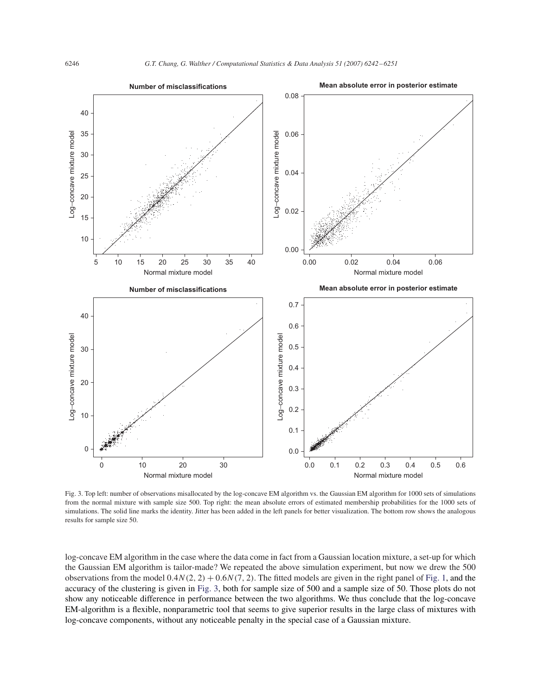

Fig. 3. Top left: number of observations misallocated by the log-concave EM algorithm vs. the Gaussian EM algorithm for 1000 sets of simulations from the normal mixture with sample size 500. Top right: the mean absolute errors of estimated membership probabilities for the 1000 sets of simulations. The solid line marks the identity. Jitter has been added in the left panels for better visualization. The bottom row shows the analogous results for sample size 50.

log-concave EM algorithm in the case where the data come in fact from a Gaussian location mixture, a set-up for which the Gaussian EM algorithm is tailor-made? We repeated the above simulation experiment, but now we drew the 500 observations from the model  $0.4N(2, 2) + 0.6N(7, 2)$ . The fitted models are given in the right panel of Fig. 1, and the accuracy of the clustering is given in Fig. 3, both for sample size of 500 and a sample size of 50. Those plots do not show any noticeable difference in performance between the two algorithms. We thus conclude that the log-concave EM-algorithm is a flexible, nonparametric tool that seems to give superior results in the large class of mixtures with log-concave components, without any noticeable penalty in the special case of a Gaussian mixture.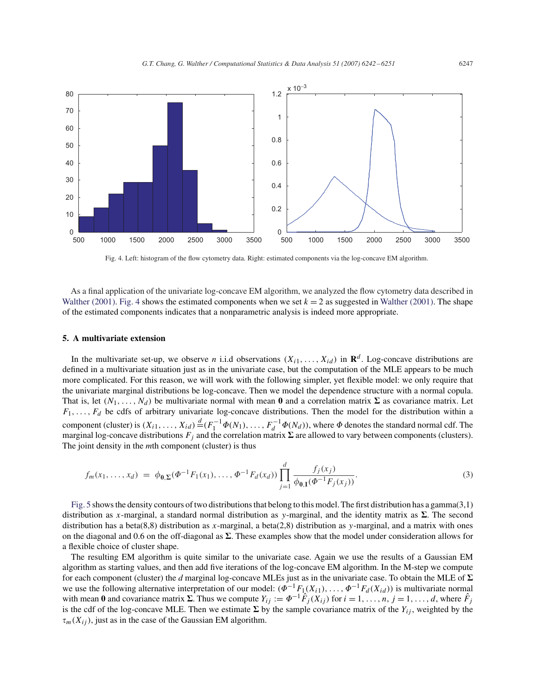

Fig. 4. Left: histogram of the flow cytometry data. Right: estimated components via the log-concave EM algorithm.

As a final application of the univariate log-concave EM algorithm, we analyzed the flow cytometry data described in Walther (2001). Fig. 4 shows the estimated components when we set  $k = 2$  as suggested in Walther (2001). The shape of the estimated components indicates that a nonparametric analysis is indeed more appropriate.

## **5. A multivariate extension**

In the multivariate set-up, we observe *n* i.i.d observations  $(X_{i1},...,X_{id})$  in  $\mathbb{R}^d$ . Log-concave distributions are defined in a multivariate situation just as in the univariate case, but the computation of the MLE appears to be much more complicated. For this reason, we will work with the following simpler, yet flexible model: we only require that the univariate marginal distributions be log-concave. Then we model the dependence structure with a normal copula. That is, let  $(N_1, \ldots, N_d)$  be multivariate normal with mean **0** and a correlation matrix  $\Sigma$  as covariance matrix. Let  $F_1, \ldots, F_d$  be cdfs of arbitrary univariate log-concave distributions. Then the model for the distribution within a component (cluster) is  $(X_{i1},...,X_{id}) \stackrel{d}{=} (F_1^{-1} \Phi(N_1),...,F_d^{-1} \Phi(N_d))$ , where  $\Phi$  denotes the standard normal cdf. The marginal log-concave distributions  $F_j$  and the correlation matrix  $\Sigma$  are allowed to vary between components (clusters). The joint density in the *m*th component (cluster) is thus

$$
f_m(x_1, \ldots, x_d) = \phi_{0,\Sigma}(\Phi^{-1}F_1(x_1), \ldots, \Phi^{-1}F_d(x_d)) \prod_{j=1}^d \frac{f_j(x_j)}{\phi_{0,\mathbf{I}}(\Phi^{-1}F_j(x_j))}.
$$
\n(3)

Fig. 5 shows the density contours of two distributions that belong to this model. The first distribution has a gamma(3,1) distribution as x-marginal, a standard normal distribution as y-marginal, and the identity matrix as  $\Sigma$ . The second distribution has a beta(8,8) distribution as x-marginal, a beta(2,8) distribution as y-marginal, and a matrix with ones on the diagonal and  $0.6$  on the off-diagonal as  $\Sigma$ . These examples show that the model under consideration allows for a flexible choice of cluster shape.

The resulting EM algorithm is quite similar to the univariate case. Again we use the results of a Gaussian EM algorithm as starting values, and then add five iterations of the log-concave EM algorithm. In the M-step we compute for each component (cluster) the *d* marginal log-concave MLEs just as in the univariate case. To obtain the MLE of  $\Sigma$ we use the following alternative interpretation of our model:  $(\Phi^{-1}F_1(X_{i1}), \ldots, \Phi^{-1}F_d(X_{id}))$  is multivariate normal with mean **0** and covariance matrix  $\Sigma$ . Thus we compute  $Y_{ij} := \Phi^{-1} \hat{F}_j(X_{ij})$  for  $i = 1, ..., n, j = 1, ..., d$ , where  $\hat{F}_j$ is the cdf of the log-concave MLE. Then we estimate  $\Sigma$  by the sample covariance matrix of the  $Y_{ij}$ , weighted by the  $\tau_m(X_{ii})$ , just as in the case of the Gaussian EM algorithm.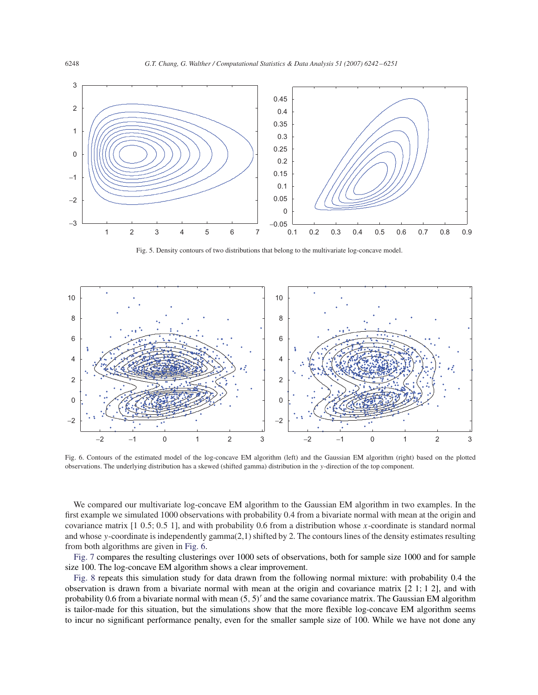

Fig. 5. Density contours of two distributions that belong to the multivariate log-concave model.



Fig. 6. Contours of the estimated model of the log-concave EM algorithm (left) and the Gaussian EM algorithm (right) based on the plotted observations. The underlying distribution has a skewed (shifted gamma) distribution in the y-direction of the top component.

We compared our multivariate log-concave EM algorithm to the Gaussian EM algorithm in two examples. In the first example we simulated 1000 observations with probability 0.4 from a bivariate normal with mean at the origin and covariance matrix [1 0.5; <sup>0</sup>.5 1], and with probability 0.6 from a distribution whose <sup>x</sup>-coordinate is standard normal and whose y-coordinate is independently gamma(2,1) shifted by 2. The contours lines of the density estimates resulting from both algorithms are given in Fig. 6.

Fig. 7 compares the resulting clusterings over 1000 sets of observations, both for sample size 1000 and for sample size 100. The log-concave EM algorithm shows a clear improvement.

Fig. 8 repeats this simulation study for data drawn from the following normal mixture: with probability 0.4 the observation is drawn from a bivariate normal with mean at the origin and covariance matrix [2 1; 1 2], and with probability 0.6 from a bivariate normal with mean  $(5, 5)'$  and the same covariance matrix. The Gaussian EM algorithm is tailor-made for this situation, but the simulations show that the more flexible log-concave EM algorithm seems to incur no significant performance penalty, even for the smaller sample size of 100. While we have not done any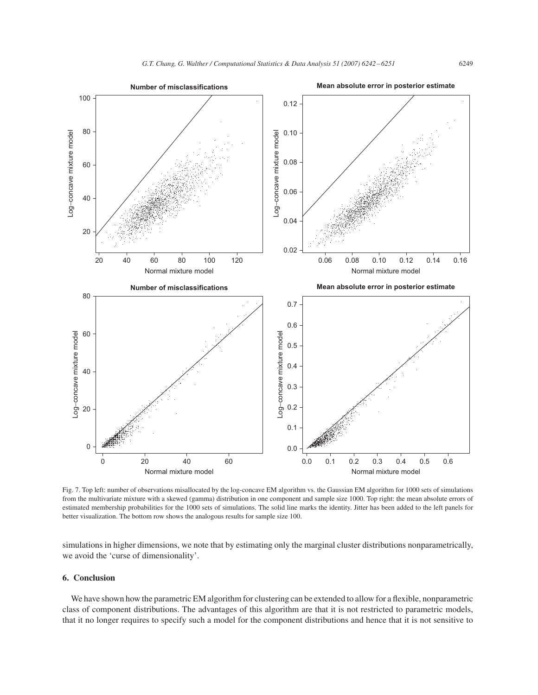

Fig. 7. Top left: number of observations misallocated by the log-concave EM algorithm vs. the Gaussian EM algorithm for 1000 sets of simulations from the multivariate mixture with a skewed (gamma) distribution in one component and sample size 1000. Top right: the mean absolute errors of estimated membership probabilities for the 1000 sets of simulations. The solid line marks the identity. Jitter has been added to the left panels for better visualization. The bottom row shows the analogous results for sample size 100.

simulations in higher dimensions, we note that by estimating only the marginal cluster distributions nonparametrically, we avoid the 'curse of dimensionality'.

## **6. Conclusion**

We have shown how the parametric EM algorithm for clustering can be extended to allow for a flexible, nonparametric class of component distributions. The advantages of this algorithm are that it is not restricted to parametric models, that it no longer requires to specify such a model for the component distributions and hence that it is not sensitive to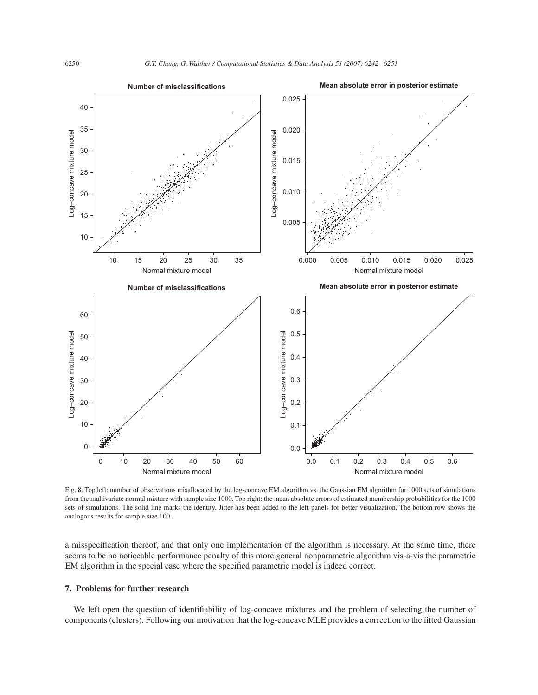

Fig. 8. Top left: number of observations misallocated by the log-concave EM algorithm vs. the Gaussian EM algorithm for 1000 sets of simulations from the multivariate normal mixture with sample size 1000. Top right: the mean absolute errors of estimated membership probabilities for the 1000 sets of simulations. The solid line marks the identity. Jitter has been added to the left panels for better visualization. The bottom row shows the analogous results for sample size 100.

a misspecification thereof, and that only one implementation of the algorithm is necessary. At the same time, there seems to be no noticeable performance penalty of this more general nonparametric algorithm vis-a-vis the parametric EM algorithm in the special case where the specified parametric model is indeed correct.

#### **7. Problems for further research**

We left open the question of identifiability of log-concave mixtures and the problem of selecting the number of components (clusters). Following our motivation that the log-concave MLE provides a correction to the fitted Gaussian